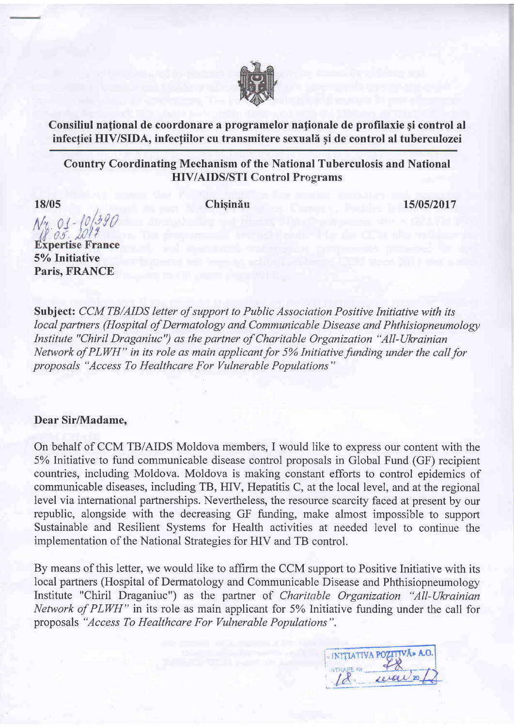

Consiliul national de coordonare a programelor nationale de profilaxie și control al infectiei HIV/SIDA, infectiilor cu transmitere sexuală și de control al tuberculozei

## Country Coordinating Mechanism of the National Tuberculosis and National HIV/AIDS/STI Control Programs

18/0s

Chisinău 15/05/2017

 $\Lambda/\gamma$   $01 0.5.$ 

**Expertise France** 5% Initiative Paris, FRANCE

Subject: CCM TB/AIDS letter of support to Public Association Positive Initiative with its local partners (Hospital of Dermatology and Communicable Disease and Phthisiopneumology Institute "Chiril Draganiuc") as the partner of Charitable Organization "All-Ukrainian Network of PLWH" in its role as main applicant for 5% Initiative funding under the call for proposals "Access To Healthcare For Vulnerable Populations"

## Dear Sir/Madame,

On behalf of CCM TB/AIDS Moldova members, I would like to express our content with the 5% Initiative to fund communicable disease control proposals in Global Fund (GF) recipient countries, including Moldova. Moldova is making constant efforts to control epidemics of communicable diseases, including TB, HIV, Hepatitis C, at the local level, and at the regional level via international partnerships. Nevertheless, the resource scarcity faced at present by our republic, alongside with the decreasing GF funding, make almost impossible to support Sustainable and Resilient Systems for Health activities at needed level to continue the implementation of the National Strategies for HIV and TB control.

By means of this letter, we would like to affirm the CCM support to Positive Initiative with its local partners (Hospital of Dermatology and Communicable Disease and Phthisiopneumology Institute "Chiril Draganiuc") as the partner of Charitable Organization "All-Ukrainian" Network of PLWH" in its role as main applicant for 5% Initiative funding under the call for proposals "Access To Healthcare For Vulnerable Populations".